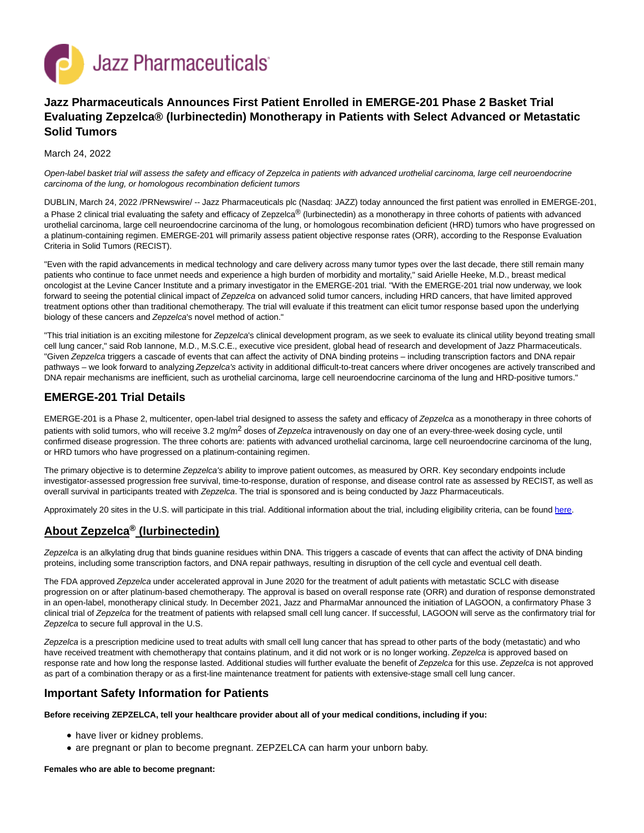

# **Jazz Pharmaceuticals Announces First Patient Enrolled in EMERGE-201 Phase 2 Basket Trial Evaluating Zepzelca® (lurbinectedin) Monotherapy in Patients with Select Advanced or Metastatic Solid Tumors**

March 24, 2022

Open-label basket trial will assess the safety and efficacy of Zepzelca in patients with advanced urothelial carcinoma, large cell neuroendocrine carcinoma of the lung, or homologous recombination deficient tumors

DUBLIN, March 24, 2022 /PRNewswire/ -- Jazz Pharmaceuticals plc (Nasdaq: JAZZ) today announced the first patient was enrolled in EMERGE-201, a Phase 2 clinical trial evaluating the safety and efficacy of Zepzelca® (lurbinectedin) as a monotherapy in three cohorts of patients with advanced urothelial carcinoma, large cell neuroendocrine carcinoma of the lung, or homologous recombination deficient (HRD) tumors who have progressed on a platinum-containing regimen. EMERGE-201 will primarily assess patient objective response rates (ORR), according to the Response Evaluation Criteria in Solid Tumors (RECIST).

"Even with the rapid advancements in medical technology and care delivery across many tumor types over the last decade, there still remain many patients who continue to face unmet needs and experience a high burden of morbidity and mortality," said Arielle Heeke, M.D., breast medical oncologist at the Levine Cancer Institute and a primary investigator in the EMERGE-201 trial. "With the EMERGE-201 trial now underway, we look forward to seeing the potential clinical impact of Zepzelca on advanced solid tumor cancers, including HRD cancers, that have limited approved treatment options other than traditional chemotherapy. The trial will evaluate if this treatment can elicit tumor response based upon the underlying biology of these cancers and Zepzelca's novel method of action."

"This trial initiation is an exciting milestone for Zepzelca's clinical development program, as we seek to evaluate its clinical utility beyond treating small cell lung cancer," said Rob Iannone, M.D., M.S.C.E., executive vice president, global head of research and development of Jazz Pharmaceuticals. "Given Zepzelca triggers a cascade of events that can affect the activity of DNA binding proteins – including transcription factors and DNA repair pathways – we look forward to analyzing Zepzelca's activity in additional difficult-to-treat cancers where driver oncogenes are actively transcribed and DNA repair mechanisms are inefficient, such as urothelial carcinoma, large cell neuroendocrine carcinoma of the lung and HRD-positive tumors."

# **EMERGE-201 Trial Details**

EMERGE-201 is a Phase 2, multicenter, open-label trial designed to assess the safety and efficacy of Zepzelca as a monotherapy in three cohorts of patients with solid tumors, who will receive 3.2 mg/m<sup>2</sup> doses of Zepzelca intravenously on day one of an every-three-week dosing cycle, until confirmed disease progression. The three cohorts are: patients with advanced urothelial carcinoma, large cell neuroendocrine carcinoma of the lung, or HRD tumors who have progressed on a platinum-containing regimen.

The primary objective is to determine Zepzelca's ability to improve patient outcomes, as measured by ORR. Key secondary endpoints include investigator-assessed progression free survival, time-to-response, duration of response, and disease control rate as assessed by RECIST, as well as overall survival in participants treated with Zepzelca. The trial is sponsored and is being conducted by Jazz Pharmaceuticals.

Approximately 20 sites in the U.S. will participate in this trial. Additional information about the trial, including eligibility criteria, can be found [here.](https://c212.net/c/link/?t=0&l=en&o=3482308-1&h=1737562769&u=https%3A%2F%2Fclinicaltrials.gov%2Fct2%2Fshow%2FNCT05126433%3Fterm%3DEMERGE-201%26draw%3D2%26rank%3D1&a=here)

# **About Zepzelca® (lurbinectedin)**

Zepzelca is an alkylating drug that binds guanine residues within DNA. This triggers a cascade of events that can affect the activity of DNA binding proteins, including some transcription factors, and DNA repair pathways, resulting in disruption of the cell cycle and eventual cell death.

The FDA approved Zepzelca under accelerated approval in June 2020 for the treatment of adult patients with metastatic SCLC with disease progression on or after platinum-based chemotherapy. The approval is based on overall response rate (ORR) and duration of response demonstrated in an open-label, monotherapy clinical study. In December 2021, Jazz and PharmaMar announced the initiation of LAGOON, a confirmatory Phase 3 clinical trial of Zepzelca for the treatment of patients with relapsed small cell lung cancer. If successful, LAGOON will serve as the confirmatory trial for Zepzelca to secure full approval in the U.S.

Zepzelca is a prescription medicine used to treat adults with small cell lung cancer that has spread to other parts of the body (metastatic) and who have received treatment with chemotherapy that contains platinum, and it did not work or is no longer working. Zepzelca is approved based on response rate and how long the response lasted. Additional studies will further evaluate the benefit of Zepzelca for this use. Zepzelca is not approved as part of a combination therapy or as a first-line maintenance treatment for patients with extensive-stage small cell lung cancer.

# **Important Safety Information for Patients**

**Before receiving ZEPZELCA, tell your healthcare provider about all of your medical conditions, including if you:**

- have liver or kidney problems.
- are pregnant or plan to become pregnant. ZEPZELCA can harm your unborn baby.

**Females who are able to become pregnant:**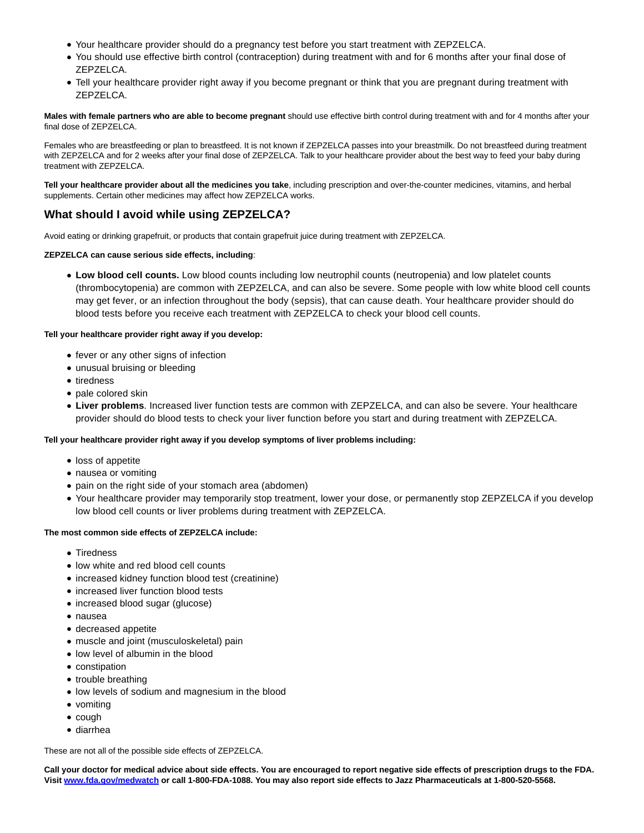- Your healthcare provider should do a pregnancy test before you start treatment with ZEPZELCA.
- You should use effective birth control (contraception) during treatment with and for 6 months after your final dose of ZEPZELCA.
- Tell your healthcare provider right away if you become pregnant or think that you are pregnant during treatment with ZEPZELCA.

**Males with female partners who are able to become pregnant** should use effective birth control during treatment with and for 4 months after your final dose of ZEPZELCA.

Females who are breastfeeding or plan to breastfeed. It is not known if ZEPZELCA passes into your breastmilk. Do not breastfeed during treatment with ZEPZELCA and for 2 weeks after your final dose of ZEPZELCA. Talk to your healthcare provider about the best way to feed your baby during treatment with ZEPZELCA.

**Tell your healthcare provider about all the medicines you take**, including prescription and over-the-counter medicines, vitamins, and herbal supplements. Certain other medicines may affect how ZEPZELCA works.

# **What should I avoid while using ZEPZELCA?**

Avoid eating or drinking grapefruit, or products that contain grapefruit juice during treatment with ZEPZELCA.

### **ZEPZELCA can cause serious side effects, including**:

**Low blood cell counts.** Low blood counts including low neutrophil counts (neutropenia) and low platelet counts (thrombocytopenia) are common with ZEPZELCA, and can also be severe. Some people with low white blood cell counts may get fever, or an infection throughout the body (sepsis), that can cause death. Your healthcare provider should do blood tests before you receive each treatment with ZEPZELCA to check your blood cell counts.

### **Tell your healthcare provider right away if you develop:**

- fever or any other signs of infection
- unusual bruising or bleeding
- tiredness
- pale colored skin
- **Liver problems**. Increased liver function tests are common with ZEPZELCA, and can also be severe. Your healthcare provider should do blood tests to check your liver function before you start and during treatment with ZEPZELCA.

### **Tell your healthcare provider right away if you develop symptoms of liver problems including:**

- loss of appetite
- nausea or vomiting
- pain on the right side of your stomach area (abdomen)
- Your healthcare provider may temporarily stop treatment, lower your dose, or permanently stop ZEPZELCA if you develop low blood cell counts or liver problems during treatment with ZEPZELCA.

### **The most common side effects of ZEPZELCA include:**

- **Tiredness**
- low white and red blood cell counts
- increased kidney function blood test (creatinine)
- increased liver function blood tests
- increased blood sugar (glucose)
- nausea
- decreased appetite
- muscle and joint (musculoskeletal) pain
- low level of albumin in the blood
- constipation
- trouble breathing
- low levels of sodium and magnesium in the blood
- vomiting
- $\bullet$  cough
- diarrhea

These are not all of the possible side effects of ZEPZELCA.

**Call your doctor for medical advice about side effects. You are encouraged to report negative side effects of prescription drugs to the FDA. Visit [www.fda.gov/medwatch o](http://www.fda.gov/medwatch)r call 1-800-FDA-1088. You may also report side effects to Jazz Pharmaceuticals at 1-800-520-5568.**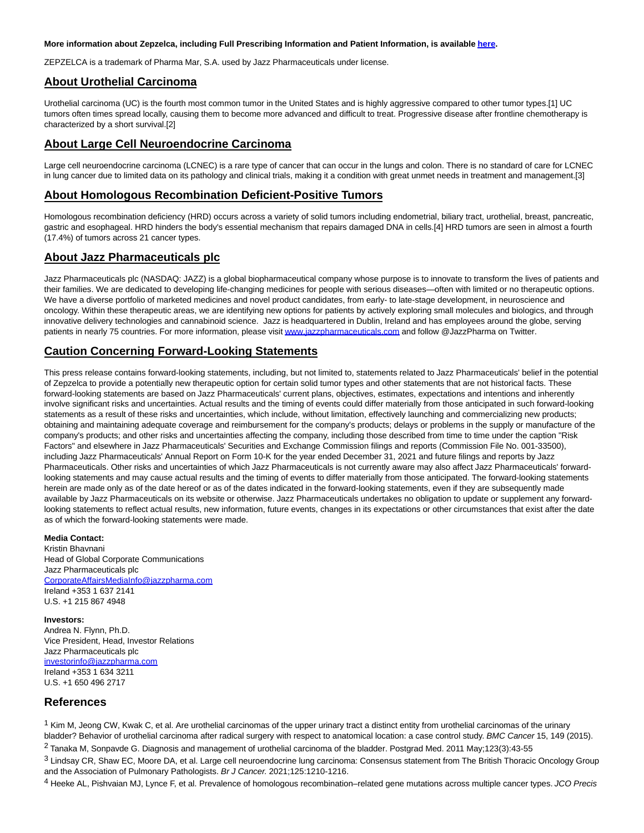#### **More information about Zepzelca, including Full Prescribing Information and Patient Information, is availabl[e here.](https://c212.net/c/link/?t=0&l=en&o=3482308-1&h=3367827357&u=https%3A%2F%2Fpp.jazzpharma.com%2Fpi%2Fzepzelca.en.USPI.pdf&a=here)**

ZEPZELCA is a trademark of Pharma Mar, S.A. used by Jazz Pharmaceuticals under license.

## **About Urothelial Carcinoma**

Urothelial carcinoma (UC) is the fourth most common tumor in the United States and is highly aggressive compared to other tumor types.[1] UC tumors often times spread locally, causing them to become more advanced and difficult to treat. Progressive disease after frontline chemotherapy is characterized by a short survival.[2]

# **About Large Cell Neuroendocrine Carcinoma**

Large cell neuroendocrine carcinoma (LCNEC) is a rare type of cancer that can occur in the lungs and colon. There is no standard of care for LCNEC in lung cancer due to limited data on its pathology and clinical trials, making it a condition with great unmet needs in treatment and management.[3]

# **About Homologous Recombination Deficient-Positive Tumors**

Homologous recombination deficiency (HRD) occurs across a variety of solid tumors including endometrial, biliary tract, urothelial, breast, pancreatic, gastric and esophageal. HRD hinders the body's essential mechanism that repairs damaged DNA in cells.[4] HRD tumors are seen in almost a fourth (17.4%) of tumors across 21 cancer types.

# **About Jazz Pharmaceuticals plc**

Jazz Pharmaceuticals plc (NASDAQ: JAZZ) is a global biopharmaceutical company whose purpose is to innovate to transform the lives of patients and their families. We are dedicated to developing life-changing medicines for people with serious diseases—often with limited or no therapeutic options. We have a diverse portfolio of marketed medicines and novel product candidates, from early- to late-stage development, in neuroscience and oncology. Within these therapeutic areas, we are identifying new options for patients by actively exploring small molecules and biologics, and through innovative delivery technologies and cannabinoid science. Jazz is headquartered in Dublin, Ireland and has employees around the globe, serving patients in nearly 75 countries. For more information, please visi[t www.jazzpharmaceuticals.com a](https://c212.net/c/link/?t=0&l=en&o=3482308-1&h=88882533&u=http%3A%2F%2Fwww.jazzpharmaceuticals.com%2F&a=www.jazzpharmaceuticals.com)nd follow @JazzPharma on Twitter.

# **Caution Concerning Forward-Looking Statements**

This press release contains forward-looking statements, including, but not limited to, statements related to Jazz Pharmaceuticals' belief in the potential of Zepzelca to provide a potentially new therapeutic option for certain solid tumor types and other statements that are not historical facts. These forward-looking statements are based on Jazz Pharmaceuticals' current plans, objectives, estimates, expectations and intentions and inherently involve significant risks and uncertainties. Actual results and the timing of events could differ materially from those anticipated in such forward-looking statements as a result of these risks and uncertainties, which include, without limitation, effectively launching and commercializing new products; obtaining and maintaining adequate coverage and reimbursement for the company's products; delays or problems in the supply or manufacture of the company's products; and other risks and uncertainties affecting the company, including those described from time to time under the caption "Risk Factors" and elsewhere in Jazz Pharmaceuticals' Securities and Exchange Commission filings and reports (Commission File No. 001-33500), including Jazz Pharmaceuticals' Annual Report on Form 10-K for the year ended December 31, 2021 and future filings and reports by Jazz Pharmaceuticals. Other risks and uncertainties of which Jazz Pharmaceuticals is not currently aware may also affect Jazz Pharmaceuticals' forwardlooking statements and may cause actual results and the timing of events to differ materially from those anticipated. The forward-looking statements herein are made only as of the date hereof or as of the dates indicated in the forward-looking statements, even if they are subsequently made available by Jazz Pharmaceuticals on its website or otherwise. Jazz Pharmaceuticals undertakes no obligation to update or supplement any forwardlooking statements to reflect actual results, new information, future events, changes in its expectations or other circumstances that exist after the date as of which the forward-looking statements were made.

### **Media Contact:**

Kristin Bhavnani Head of Global Corporate Communications Jazz Pharmaceuticals plc [CorporateAffairsMediaInfo@jazzpharma.com](mailto:CorporateAffairsMediaInfo@jazzpharma.com) Ireland +353 1 637 2141 U.S. +1 215 867 4948

**Investors:**

Andrea N. Flynn, Ph.D. Vice President, Head, Investor Relations Jazz Pharmaceuticals plc [investorinfo@jazzpharma.com](mailto:investorinfo@jazzpharma.com) Ireland +353 1 634 3211 U.S. +1 650 496 2717

# **References**

 $1$  Kim M, Jeong CW, Kwak C, et al. Are urothelial carcinomas of the upper urinary tract a distinct entity from urothelial carcinomas of the urinary bladder? Behavior of urothelial carcinoma after radical surgery with respect to anatomical location: a case control study. BMC Cancer 15, 149 (2015). 2 Tanaka M, Sonpavde G. Diagnosis and management of urothelial carcinoma of the bladder. Postgrad Med. 2011 May;123(3):43-55

<sup>3</sup> Lindsay CR, Shaw EC, Moore DA, et al. Large cell neuroendocrine lung carcinoma: Consensus statement from The British Thoracic Oncology Group and the Association of Pulmonary Pathologists. Br J Cancer. 2021;125:1210-1216.

4 Heeke AL, Pishvaian MJ, Lynce F, et al. Prevalence of homologous recombination–related gene mutations across multiple cancer types. JCO Precis